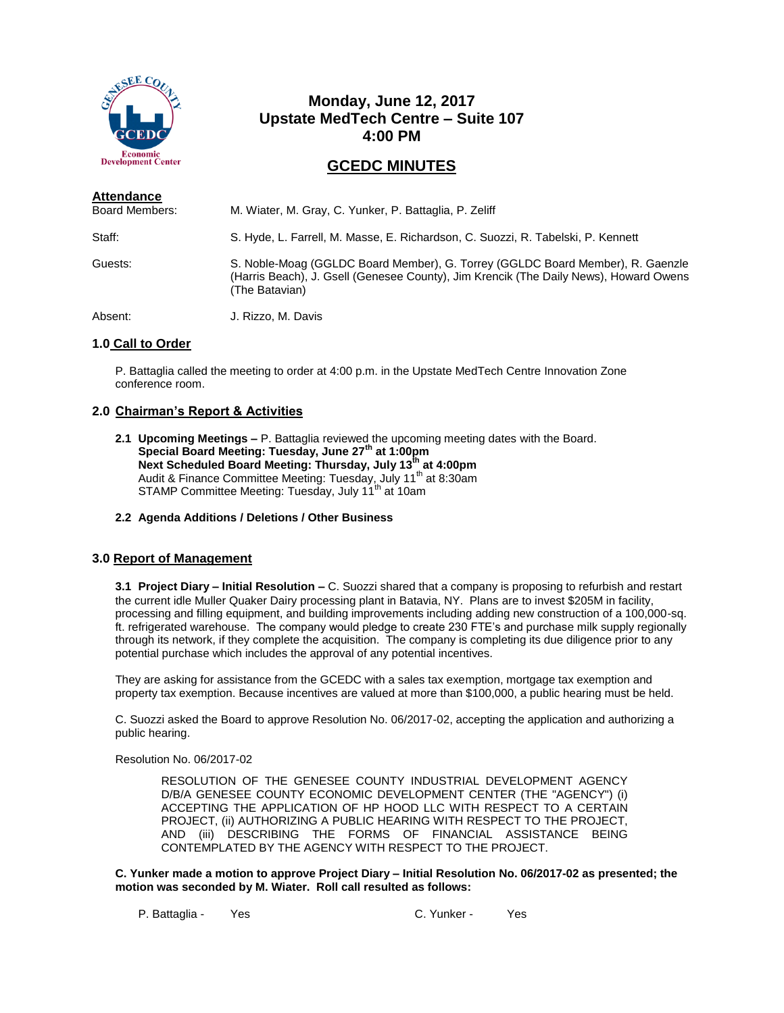

# **Monday, June 12, 2017 Upstate MedTech Centre – Suite 107 4:00 PM**

## **GCEDC MINUTES**

| <b>Attendance</b>     |                                                                                                                                                                                           |
|-----------------------|-------------------------------------------------------------------------------------------------------------------------------------------------------------------------------------------|
| <b>Board Members:</b> | M. Wiater, M. Gray, C. Yunker, P. Battaglia, P. Zeliff                                                                                                                                    |
| Staff:                | S. Hyde, L. Farrell, M. Masse, E. Richardson, C. Suozzi, R. Tabelski, P. Kennett                                                                                                          |
| Guests:               | S. Noble-Moag (GGLDC Board Member), G. Torrey (GGLDC Board Member), R. Gaenzle<br>(Harris Beach), J. Gsell (Genesee County), Jim Krencik (The Daily News), Howard Owens<br>(The Batavian) |
| Absent:               | J. Rizzo, M. Davis                                                                                                                                                                        |

## **1.0 Call to Order**

P. Battaglia called the meeting to order at 4:00 p.m. in the Upstate MedTech Centre Innovation Zone conference room.

## **2.0 Chairman's Report & Activities**

- **2.1 Upcoming Meetings –** P. Battaglia reviewed the upcoming meeting dates with the Board. **Special Board Meeting: Tuesday, June 27th at 1:00pm Next Scheduled Board Meeting: Thursday, July 13th at 4:00pm** Audit & Finance Committee Meeting: Tuesday, July 11<sup>th</sup> at 8:30am STAMP Committee Meeting: Tuesday, July 11<sup>th</sup> at 10am
- **2.2 Agenda Additions / Deletions / Other Business**

#### **3.0 Report of Management**

**3.1 Project Diary – Initial Resolution –** C. Suozzi shared that a company is proposing to refurbish and restart the current idle Muller Quaker Dairy processing plant in Batavia, NY. Plans are to invest \$205M in facility, processing and filling equipment, and building improvements including adding new construction of a 100,000-sq. ft. refrigerated warehouse. The company would pledge to create 230 FTE's and purchase milk supply regionally through its network, if they complete the acquisition. The company is completing its due diligence prior to any potential purchase which includes the approval of any potential incentives.

They are asking for assistance from the GCEDC with a sales tax exemption, mortgage tax exemption and property tax exemption. Because incentives are valued at more than \$100,000, a public hearing must be held.

C. Suozzi asked the Board to approve Resolution No. 06/2017-02, accepting the application and authorizing a public hearing.

#### Resolution No. 06/2017-02

RESOLUTION OF THE GENESEE COUNTY INDUSTRIAL DEVELOPMENT AGENCY D/B/A GENESEE COUNTY ECONOMIC DEVELOPMENT CENTER (THE "AGENCY") (i) ACCEPTING THE APPLICATION OF HP HOOD LLC WITH RESPECT TO A CERTAIN PROJECT, (ii) AUTHORIZING A PUBLIC HEARING WITH RESPECT TO THE PROJECT, AND (iii) DESCRIBING THE FORMS OF FINANCIAL ASSISTANCE BEING CONTEMPLATED BY THE AGENCY WITH RESPECT TO THE PROJECT.

**C. Yunker made a motion to approve Project Diary – Initial Resolution No. 06/2017-02 as presented; the motion was seconded by M. Wiater. Roll call resulted as follows:**

P. Battaglia - Yes C. Yunker - Yes